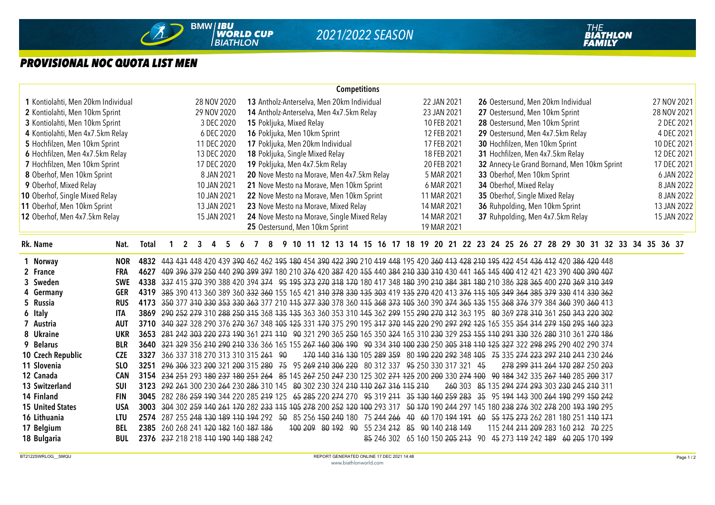

## *PROVISIONAL NOC QUOTA LIST MEN*

|                                                |            |                                                                                                                                      |                                                           |                                                                                        |   |             |                |                                 |                                          |                                             |  |  |  |  |             |  | <b>Competitions</b> |  |             |                                                                                   |             |  |                                                |                                |                                  |  |  |  |             |                                             |             |                                                                                                                                 |             |            |             |             |            |             |
|------------------------------------------------|------------|--------------------------------------------------------------------------------------------------------------------------------------|-----------------------------------------------------------|----------------------------------------------------------------------------------------|---|-------------|----------------|---------------------------------|------------------------------------------|---------------------------------------------|--|--|--|--|-------------|--|---------------------|--|-------------|-----------------------------------------------------------------------------------|-------------|--|------------------------------------------------|--------------------------------|----------------------------------|--|--|--|-------------|---------------------------------------------|-------------|---------------------------------------------------------------------------------------------------------------------------------|-------------|------------|-------------|-------------|------------|-------------|
| 1 Kontiolahti, Men 20km Individual             |            |                                                                                                                                      | 28 NOV 2020<br>13 Antholz-Anterselva, Men 20km Individual |                                                                                        |   |             |                |                                 |                                          |                                             |  |  |  |  | 22 JAN 2021 |  |                     |  |             | 26 Oestersund, Men 20km Individual                                                |             |  |                                                |                                |                                  |  |  |  | 27 NOV 2021 |                                             |             |                                                                                                                                 |             |            |             |             |            |             |
| 2 Kontiolahti, Men 10km Sprint                 |            | 29 NOV 2020                                                                                                                          |                                                           |                                                                                        |   |             |                |                                 |                                          | 14 Antholz-Anterselva, Men 4x7.5km Relay    |  |  |  |  |             |  |                     |  |             |                                                                                   | 23 JAN 2021 |  |                                                |                                | 27 Oestersund, Men 10km Sprint   |  |  |  |             |                                             |             |                                                                                                                                 |             |            | 28 NOV 2021 |             |            |             |
| 3 Kontiolahti, Men 10km Sprint                 |            | 3 DEC 2020                                                                                                                           |                                                           |                                                                                        |   |             |                |                                 |                                          | 15 Pokljuka, Mixed Relay                    |  |  |  |  |             |  |                     |  |             |                                                                                   | 10 FEB 2021 |  |                                                |                                | 28 Oestersund, Men 10km Sprint   |  |  |  |             |                                             |             |                                                                                                                                 |             |            |             |             |            | 2 DEC 2021  |
| 4 Kontiolahti, Men 4x7.5km Relay<br>6 DEC 2020 |            |                                                                                                                                      |                                                           |                                                                                        |   |             |                |                                 | 16 Pokljuka, Men 10km Sprint             |                                             |  |  |  |  |             |  |                     |  |             | 12 FEB 2021                                                                       |             |  |                                                |                                |                                  |  |  |  |             |                                             |             |                                                                                                                                 |             | 4 DEC 2021 |             |             |            |             |
| 5 Hochfilzen, Men 10km Sprint<br>11 DEC 2020   |            |                                                                                                                                      |                                                           |                                                                                        |   |             |                |                                 | 17 Pokljuka, Men 20km Individual         |                                             |  |  |  |  |             |  |                     |  |             | 29 Oestersund, Men 4x7.5km Relay<br>17 FEB 2021<br>30 Hochfilzen, Men 10km Sprint |             |  |                                                |                                |                                  |  |  |  |             |                                             | 10 DEC 2021 |                                                                                                                                 |             |            |             |             |            |             |
| 6 Hochfilzen, Men 4x7.5km Relay<br>13 DEC 2020 |            |                                                                                                                                      |                                                           |                                                                                        |   |             |                | 18 Pokljuka, Single Mixed Relay |                                          |                                             |  |  |  |  |             |  |                     |  | 18 FEB 2021 |                                                                                   |             |  | 31 Hochfilzen, Men 4x7.5km Relay               |                                |                                  |  |  |  |             |                                             |             |                                                                                                                                 |             |            |             | 12 DEC 2021 |            |             |
| 7 Hochfilzen, Men 10km Sprint<br>17 DEC 2020   |            |                                                                                                                                      |                                                           |                                                                                        |   |             |                | 19 Pokljuka, Men 4x7.5km Relay  |                                          |                                             |  |  |  |  |             |  |                     |  | 20 FEB 2021 |                                                                                   |             |  |                                                |                                |                                  |  |  |  |             | 32 Annecy-Le Grand Bornand, Men 10km Sprint |             |                                                                                                                                 | 17 DEC 2021 |            |             |             |            |             |
| 8 Oberhof, Men 10km Sprint                     |            |                                                                                                                                      |                                                           |                                                                                        |   | 8 JAN 2021  |                |                                 |                                          | 20 Nove Mesto na Morave, Men 4x7.5km Relay  |  |  |  |  |             |  |                     |  |             |                                                                                   | 5 MAR 2021  |  |                                                |                                | 33 Oberhof, Men 10km Sprint      |  |  |  |             |                                             |             |                                                                                                                                 |             |            |             |             |            | 6 JAN 2022  |
| 9 Oberhof, Mixed Relay                         |            |                                                                                                                                      |                                                           |                                                                                        |   | 10 JAN 2021 |                |                                 |                                          | 21 Nove Mesto na Morave, Men 10km Sprint    |  |  |  |  |             |  |                     |  |             |                                                                                   | 6 MAR 2021  |  |                                                |                                | 34 Oberhof, Mixed Relay          |  |  |  |             |                                             |             |                                                                                                                                 |             |            |             |             |            | 8 JAN 2022  |
| 10 Oberhof, Single Mixed Relay<br>10 JAN 2021  |            |                                                                                                                                      |                                                           |                                                                                        |   |             |                |                                 | 22 Nove Mesto na Morave, Men 10km Sprint |                                             |  |  |  |  |             |  |                     |  |             | 11 MAR 2021                                                                       |             |  |                                                | 35 Oberhof, Single Mixed Relay |                                  |  |  |  |             |                                             |             |                                                                                                                                 |             |            |             |             | 8 JAN 2022 |             |
| 11 Oberhof, Men 10km Sprint<br>13 JAN 2021     |            |                                                                                                                                      |                                                           |                                                                                        |   |             |                |                                 |                                          | 23 Nove Mesto na Morave, Mixed Relay        |  |  |  |  |             |  |                     |  |             |                                                                                   | 14 MAR 2021 |  |                                                |                                | 36 Ruhpolding, Men 10km Sprint   |  |  |  |             |                                             |             |                                                                                                                                 |             |            |             |             |            | 13 JAN 2022 |
| 12 Oberhof, Men 4x7.5km Relay                  |            |                                                                                                                                      |                                                           |                                                                                        |   | 15 JAN 2021 |                |                                 |                                          | 24 Nove Mesto na Morave, Single Mixed Relay |  |  |  |  |             |  |                     |  |             |                                                                                   | 14 MAR 2021 |  |                                                |                                | 37 Ruhpolding, Men 4x7.5km Relay |  |  |  |             |                                             |             |                                                                                                                                 |             |            |             |             |            | 15 JAN 2022 |
|                                                |            |                                                                                                                                      |                                                           |                                                                                        |   |             |                |                                 |                                          | 25 Oestersund, Men 10km Sprint              |  |  |  |  |             |  |                     |  |             |                                                                                   | 19 MAR 2021 |  |                                                |                                |                                  |  |  |  |             |                                             |             |                                                                                                                                 |             |            |             |             |            |             |
| Rk. Name                                       | Nat.       | <b>Total</b>                                                                                                                         | $\mathbf 1$                                               | $\overline{2}$                                                                         | 3 | 4           | 5 <sup>5</sup> | 6                               | 7                                        | 8                                           |  |  |  |  |             |  |                     |  |             |                                                                                   |             |  |                                                |                                |                                  |  |  |  |             |                                             |             | 9 10 11 12 13 14 15 16 17 18 19 20 21 22 23 24 25 26 27 28 29 30 31 32 33 34 35 36 37                                           |             |            |             |             |            |             |
| 1 Norway                                       | <b>NOR</b> | 4832 443 431 448 420 439 390 462 462 495 480 454 390 422 390 210 419 448 195 420 360 413 428 210 195 422 454 436 412 420 386 420 448 |                                                           |                                                                                        |   |             |                |                                 |                                          |                                             |  |  |  |  |             |  |                     |  |             |                                                                                   |             |  |                                                |                                |                                  |  |  |  |             |                                             |             |                                                                                                                                 |             |            |             |             |            |             |
| 2 France                                       | <b>FRA</b> | 4627                                                                                                                                 |                                                           |                                                                                        |   |             |                |                                 |                                          |                                             |  |  |  |  |             |  |                     |  |             |                                                                                   |             |  |                                                |                                |                                  |  |  |  |             |                                             |             | 409 396 379 250 440 290 399 397 180 210 376 420 387 420 155 440 384 210 330 310 430 441 165 145 400 412 421 423 390 400 390 407 |             |            |             |             |            |             |
| 3 Sweden                                       | <b>SWE</b> | 4338 337 415 370 390 388 420 394 374 95 374 373 270 318 470 180 417 348 480 390 240 384 384 480 210 386 328 365 400 270 369 310 349  |                                                           |                                                                                        |   |             |                |                                 |                                          |                                             |  |  |  |  |             |  |                     |  |             |                                                                                   |             |  |                                                |                                |                                  |  |  |  |             |                                             |             |                                                                                                                                 |             |            |             |             |            |             |
| 4 Germany                                      | <b>GER</b> | 4319 385 390 413 360 389 360 332 360 155 165 421 310 378 330 135 303 419 135 270 420 413 376 115 105 349 364 385 379 330 414 330 362 |                                                           |                                                                                        |   |             |                |                                 |                                          |                                             |  |  |  |  |             |  |                     |  |             |                                                                                   |             |  |                                                |                                |                                  |  |  |  |             |                                             |             |                                                                                                                                 |             |            |             |             |            |             |
| 5 Russia                                       | <b>RUS</b> | 4173                                                                                                                                 |                                                           |                                                                                        |   |             |                |                                 |                                          |                                             |  |  |  |  |             |  |                     |  |             |                                                                                   |             |  |                                                |                                |                                  |  |  |  |             |                                             |             | 350 377 310 330 353 330 363 377 210 115 377 330 378 360 115 368 373 105 360 390 374 365 135 155 368 376 379 384 360 390 360 413 |             |            |             |             |            |             |
| 6 Italy                                        | <b>ITA</b> | 3869                                                                                                                                 |                                                           |                                                                                        |   |             |                |                                 |                                          |                                             |  |  |  |  |             |  |                     |  |             |                                                                                   |             |  |                                                |                                |                                  |  |  |  |             |                                             |             | 290 252 279 310 288 250 315 368 135 135 363 360 353 310 145 362 299 155 290 270 312 363 195 80 369 278 310 361 250 343 220 302  |             |            |             |             |            |             |
| 7 Austria                                      | <b>AUT</b> | 3710                                                                                                                                 |                                                           |                                                                                        |   |             |                |                                 |                                          |                                             |  |  |  |  |             |  |                     |  |             |                                                                                   |             |  |                                                |                                |                                  |  |  |  |             |                                             |             | 340 327 328 290 376 279 367 348 105 125 331 170 375 290 195 317 370 145 220 290 297 292 125 165 355 354 314 279 150 295 160 323 |             |            |             |             |            |             |
| 8 Ukraine                                      | <b>UKR</b> | 3653 281 242 303 220 273 190 361 271 110 90 321 290 365 250 165 350 324 165 310 230 329 253 155 110 291 330 326 280 310 361 270 186  |                                                           |                                                                                        |   |             |                |                                 |                                          |                                             |  |  |  |  |             |  |                     |  |             |                                                                                   |             |  |                                                |                                |                                  |  |  |  |             |                                             |             |                                                                                                                                 |             |            |             |             |            |             |
| 9 Belarus                                      | <b>BLR</b> | 3640 324 329 356 210 290 210 336 366 165 155 267 160 306 190 90 334 310 100 230 250 305 318 110 125 327 322 298 295 290 402 290 374  |                                                           |                                                                                        |   |             |                |                                 |                                          |                                             |  |  |  |  |             |  |                     |  |             |                                                                                   |             |  |                                                |                                |                                  |  |  |  |             |                                             |             |                                                                                                                                 |             |            |             |             |            |             |
| 10 Czech Republic                              | <b>CZE</b> | 3327                                                                                                                                 |                                                           | 366 337 318 270 313 310 315 261 90                                                     |   |             |                |                                 |                                          |                                             |  |  |  |  |             |  |                     |  |             |                                                                                   |             |  |                                                |                                |                                  |  |  |  |             |                                             |             | 170 140 316 130 105 289 359 80 190 220 292 348 105 75 335 274 223 297 210 241 230 246                                           |             |            |             |             |            |             |
| 11 Slovenia                                    | <b>SLO</b> | 3251                                                                                                                                 |                                                           | 296 306 323 200 321 200 315 280 75 95 269 210 306 220 80 312 337 95 250 330 317 321 45 |   |             |                |                                 |                                          |                                             |  |  |  |  |             |  |                     |  |             |                                                                                   |             |  |                                                |                                |                                  |  |  |  |             |                                             |             | 278 299 311 264 170 287 250 203                                                                                                 |             |            |             |             |            |             |
| 12 Canada                                      | <b>CAN</b> | 3154 234 254 293 180 237 180 251 264 85 145 267 250 247 230 125 302 271 125 200 200 330 274 100 90 184 342 335 267 140 285 200 317   |                                                           |                                                                                        |   |             |                |                                 |                                          |                                             |  |  |  |  |             |  |                     |  |             |                                                                                   |             |  |                                                |                                |                                  |  |  |  |             |                                             |             |                                                                                                                                 |             |            |             |             |            |             |
| 13 Switzerland                                 | <b>SUI</b> | 3123                                                                                                                                 |                                                           | 292 261 300 230 264 230 286 310 145 80 302 230 324 210 110 267 316 115 210             |   |             |                |                                 |                                          |                                             |  |  |  |  |             |  |                     |  |             |                                                                                   |             |  |                                                |                                |                                  |  |  |  |             |                                             |             | 260 303 85 135 294 274 293 303 230 245 210 311                                                                                  |             |            |             |             |            |             |
| 14 Finland                                     | <b>FIN</b> | 3045 282 286 259 190 344 220 285 219 125 65 285 220 274 270 95 319 211 35 130 160 259 283 35 95 194 143 300 264 190 299 150 242      |                                                           |                                                                                        |   |             |                |                                 |                                          |                                             |  |  |  |  |             |  |                     |  |             |                                                                                   |             |  |                                                |                                |                                  |  |  |  |             |                                             |             |                                                                                                                                 |             |            |             |             |            |             |
| <b>15 United States</b>                        | <b>USA</b> | 3003                                                                                                                                 |                                                           |                                                                                        |   |             |                |                                 |                                          |                                             |  |  |  |  |             |  |                     |  |             |                                                                                   |             |  |                                                |                                |                                  |  |  |  |             |                                             |             | 304 302 259 140 261 170 282 233 115 105 278 200 252 120 100 293 317 50 170 190 244 297 145 180 238 276 302 278 200 193 190 295  |             |            |             |             |            |             |
| 16 Lithuania                                   | <b>LTU</b> | 2574 287 255 248 430 489 410 494 292 50 85 256 450 240 180 75 244 266 40 60 170 494 494 60 55 475 273 262 281 180 251 440 474        |                                                           |                                                                                        |   |             |                |                                 |                                          |                                             |  |  |  |  |             |  |                     |  |             |                                                                                   |             |  |                                                |                                |                                  |  |  |  |             |                                             |             |                                                                                                                                 |             |            |             |             |            |             |
| 17 Belgium                                     | <b>BEL</b> | 2385 260 268 241 420 482 160 487 486                                                                                                 |                                                           |                                                                                        |   |             |                |                                 |                                          |                                             |  |  |  |  |             |  |                     |  |             |                                                                                   |             |  | 100 209 80 192 90 55 234 212 85 90 140 218 149 |                                |                                  |  |  |  |             |                                             |             | 115 244 211 209 283 160 212 70 225                                                                                              |             |            |             |             |            |             |
| 18 Bulgaria                                    | <b>BUL</b> | 2376 237 218 218 110 190 140 188 242                                                                                                 |                                                           |                                                                                        |   |             |                |                                 |                                          |                                             |  |  |  |  |             |  |                     |  |             |                                                                                   |             |  |                                                |                                |                                  |  |  |  |             |                                             |             | 85 246 302 65 160 150 205 213 90 45 273 119 242 189 60 205 170 199                                                              |             |            |             |             |            |             |